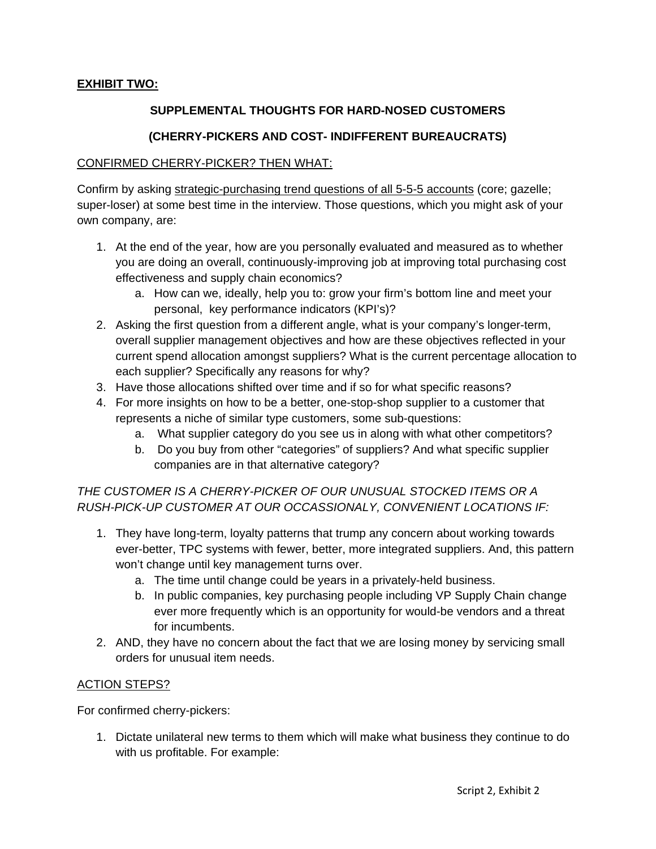## **EXHIBIT TWO:**

## **SUPPLEMENTAL THOUGHTS FOR HARD-NOSED CUSTOMERS**

## **(CHERRY-PICKERS AND COST- INDIFFERENT BUREAUCRATS)**

#### CONFIRMED CHERRY-PICKER? THEN WHAT:

Confirm by asking strategic-purchasing trend questions of all 5-5-5 accounts (core; gazelle; super-loser) at some best time in the interview. Those questions, which you might ask of your own company, are:

- 1. At the end of the year, how are you personally evaluated and measured as to whether you are doing an overall, continuously-improving job at improving total purchasing cost effectiveness and supply chain economics?
	- a. How can we, ideally, help you to: grow your firm's bottom line and meet your personal, key performance indicators (KPI's)?
- 2. Asking the first question from a different angle, what is your company's longer-term, overall supplier management objectives and how are these objectives reflected in your current spend allocation amongst suppliers? What is the current percentage allocation to each supplier? Specifically any reasons for why?
- 3. Have those allocations shifted over time and if so for what specific reasons?
- 4. For more insights on how to be a better, one-stop-shop supplier to a customer that represents a niche of similar type customers, some sub-questions:
	- a. What supplier category do you see us in along with what other competitors?
	- b. Do you buy from other "categories" of suppliers? And what specific supplier companies are in that alternative category?

# *THE CUSTOMER IS A CHERRY-PICKER OF OUR UNUSUAL STOCKED ITEMS OR A RUSH-PICK-UP CUSTOMER AT OUR OCCASSIONALY, CONVENIENT LOCATIONS IF:*

- 1. They have long-term, loyalty patterns that trump any concern about working towards ever-better, TPC systems with fewer, better, more integrated suppliers. And, this pattern won't change until key management turns over.
	- a. The time until change could be years in a privately-held business.
	- b. In public companies, key purchasing people including VP Supply Chain change ever more frequently which is an opportunity for would-be vendors and a threat for incumbents.
- 2. AND, they have no concern about the fact that we are losing money by servicing small orders for unusual item needs.

#### ACTION STEPS?

For confirmed cherry-pickers:

1. Dictate unilateral new terms to them which will make what business they continue to do with us profitable. For example: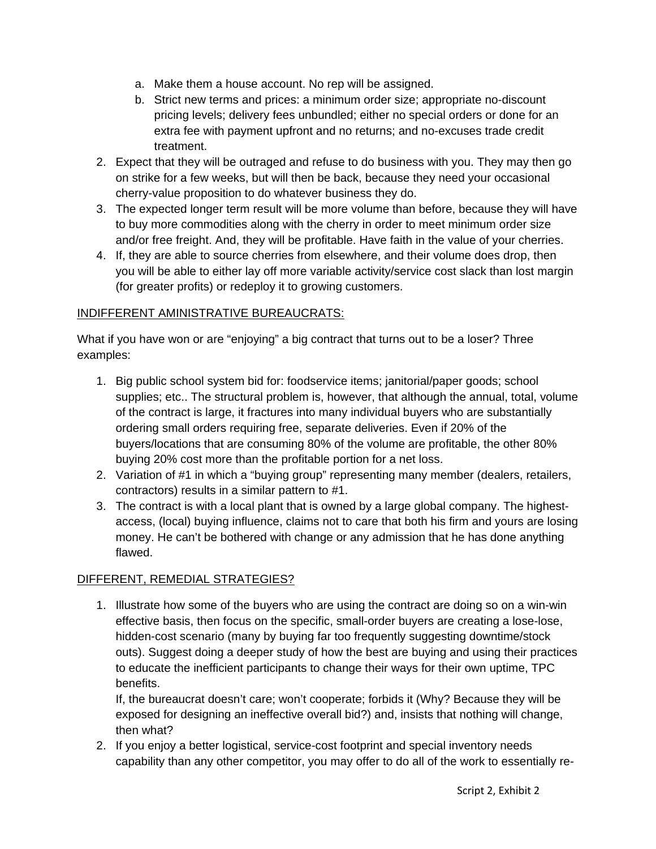- a. Make them a house account. No rep will be assigned.
- b. Strict new terms and prices: a minimum order size; appropriate no-discount pricing levels; delivery fees unbundled; either no special orders or done for an extra fee with payment upfront and no returns; and no-excuses trade credit treatment.
- 2. Expect that they will be outraged and refuse to do business with you. They may then go on strike for a few weeks, but will then be back, because they need your occasional cherry-value proposition to do whatever business they do.
- 3. The expected longer term result will be more volume than before, because they will have to buy more commodities along with the cherry in order to meet minimum order size and/or free freight. And, they will be profitable. Have faith in the value of your cherries.
- 4. If, they are able to source cherries from elsewhere, and their volume does drop, then you will be able to either lay off more variable activity/service cost slack than lost margin (for greater profits) or redeploy it to growing customers.

# INDIFFERENT AMINISTRATIVE BUREAUCRATS:

What if you have won or are "enjoying" a big contract that turns out to be a loser? Three examples:

- 1. Big public school system bid for: foodservice items; janitorial/paper goods; school supplies; etc.. The structural problem is, however, that although the annual, total, volume of the contract is large, it fractures into many individual buyers who are substantially ordering small orders requiring free, separate deliveries. Even if 20% of the buyers/locations that are consuming 80% of the volume are profitable, the other 80% buying 20% cost more than the profitable portion for a net loss.
- 2. Variation of #1 in which a "buying group" representing many member (dealers, retailers, contractors) results in a similar pattern to #1.
- 3. The contract is with a local plant that is owned by a large global company. The highestaccess, (local) buying influence, claims not to care that both his firm and yours are losing money. He can't be bothered with change or any admission that he has done anything flawed.

## DIFFERENT, REMEDIAL STRATEGIES?

1. Illustrate how some of the buyers who are using the contract are doing so on a win-win effective basis, then focus on the specific, small-order buyers are creating a lose-lose, hidden-cost scenario (many by buying far too frequently suggesting downtime/stock outs). Suggest doing a deeper study of how the best are buying and using their practices to educate the inefficient participants to change their ways for their own uptime, TPC benefits.

If, the bureaucrat doesn't care; won't cooperate; forbids it (Why? Because they will be exposed for designing an ineffective overall bid?) and, insists that nothing will change, then what?

2. If you enjoy a better logistical, service-cost footprint and special inventory needs capability than any other competitor, you may offer to do all of the work to essentially re-